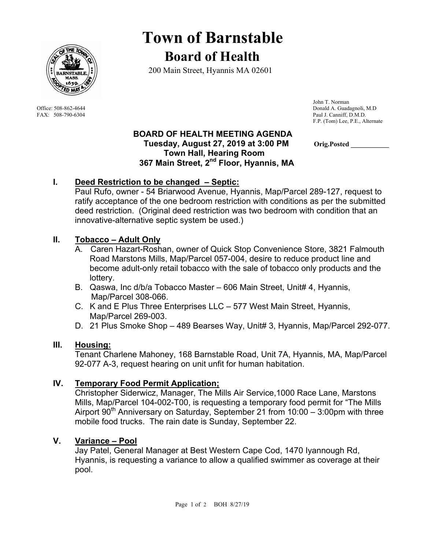

# **Town of Barnstable Board of Health**

200 Main Street, Hyannis MA 02601

 John T. Norman Office: 508-862-4644 Donald A. Guadagnoli, M.D FAX: 508-790-6304 Paul J. Canniff, D.M.D. F.P. (Tom) Lee, P.E., Alternate

#### **BOARD OF HEALTH MEETING AGENDA Tuesday, August 27, 2019 at 3:00 PM** Orig.Posted  **Town Hall, Hearing Room 367 Main Street, 2nd Floor, Hyannis, MA**

## **I. Deed Restriction to be changed – Septic:**

Paul Rufo, owner - 54 Briarwood Avenue, Hyannis, Map/Parcel 289-127, request to ratify acceptance of the one bedroom restriction with conditions as per the submitted deed restriction. (Original deed restriction was two bedroom with condition that an innovative-alternative septic system be used.)

## **II. Tobacco – Adult Only**

- A. Caren Hazart-Roshan, owner of Quick Stop Convenience Store, 3821 Falmouth Road Marstons Mills, Map/Parcel 057-004, desire to reduce product line and become adult-only retail tobacco with the sale of tobacco only products and the lottery.
- B. Qaswa, Inc d/b/a Tobacco Master 606 Main Street, Unit# 4, Hyannis, Map/Parcel 308-066.
- C. K and E Plus Three Enterprises LLC 577 West Main Street, Hyannis, Map/Parcel 269-003.
- D. 21 Plus Smoke Shop 489 Bearses Way, Unit# 3, Hyannis, Map/Parcel 292-077.

### **III. Housing:**

Tenant Charlene Mahoney, 168 Barnstable Road, Unit 7A, Hyannis, MA, Map/Parcel 92-077 A-3, request hearing on unit unfit for human habitation.

### **IV. Temporary Food Permit Application;**

Christopher Siderwicz, Manager, The Mills Air Service,1000 Race Lane, Marstons Mills, Map/Parcel 104-002-T00, is requesting a temporary food permit for "The Mills Airport  $90<sup>th</sup>$  Anniversary on Saturday, September 21 from 10:00 – 3:00pm with three mobile food trucks. The rain date is Sunday, September 22.

### **V. Variance – Pool**

Jay Patel, General Manager at Best Western Cape Cod, 1470 Iyannough Rd, Hyannis, is requesting a variance to allow a qualified swimmer as coverage at their pool.